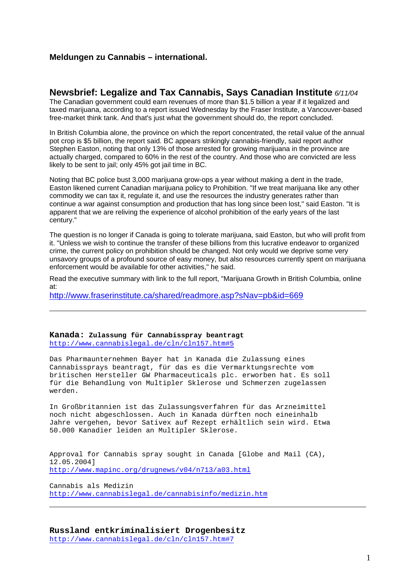## Meldungen zu Cannabis – international.

Newsbrief: Legalize and Tax Cannabis, Says Canadian Institute 6/11/04 The Canadian government could earn revenues of more than \$1.5 billion a year if it legalized and taxed marijuana, according to a report issued Wednesday by the Fraser Institute, a Vancouver-based free-market think tank. And that's just what the government should do, the report concluded.

In British Columbia alone, the province on which the report concentrated, the retail value of the annual pot crop is \$5 billion, the report said. BC appears strikingly cannabis-friendly, said report author Stephen Easton, noting that only 13% of those arrested for growing marijuana in the province are actually charged, compared to 60% in the rest of the country. And those who are convicted are less likely to be sent to jail; only 45% got jail time in BC.

Noting that BC police bust 3,000 marijuana grow-ops a year without making a dent in the trade, Easton likened current Canadian marijuana policy to Prohibition. "If we treat marijuana like any other commodity we can tax it, regulate it, and use the resources the industry generates rather than continue a war against consumption and production that has long since been lost," said Easton. "It is apparent that we are reliving the experience of alcohol prohibition of the early years of the last century."

The question is no longer if Canada is going to tolerate marijuana, said Easton, but who will profit from it. "Unless we wish to continue the transfer of these billions from this lucrative endeavor to organized crime, the current policy on prohibition should be changed. Not only would we deprive some very unsavory groups of a profound source of easy money, but also resources currently spent on marijuana enforcement would be available for other activities," he said.

Read the executive summary with link to the full report, "Marijuana Growth in British Columbia, online at:

[http://www.fraserinstitute.ca/shared/readmore.asp?sNav=pb&id=669](http://www.fraserinstitute.ca/shared/readmore.asp?sNav=pb%26id=669	 "_blank" )

Kanada: Zulassung für Cannabisspray beantragt [http://www.cannabislegal.de/cln/cln157.htm#5](http://www.cannabislegal.de/cln/cln157.html "5" 	 "_blank" )

Das Pharmaunternehmen Bayer hat in Kanada die Zulassung eines Cannabissprays beantragt, für das es die Vermarktungsrechte vom<br>britischen Hersteller GWPharmaceuticals plc. erworben hat. Es s britischen Hersteller GW Pharmaceuticals plc. erworben hat. Es soll für die Behandlung von Multipler Sklerose und Schmerzen zugelassen werden.

In Großbritannien ist das Zulassungsverfahren für das Arzneimittel noch nicht abgeschlossen. Auch in Kanada dürften noch eineinhalb Jahre vergehen, bevor Sativex auf Rezept erhältlich sein wird. Etwa 50.000 Kanadier leiden an Multipler Sklerose.

Approval for Cannabis spray sought in Canada [Globe and Mail (CA), 12.05.2004]

[http://www.mapinc.org/drugnews/v04/n713/a03.html](http://www.mapinc.org/drugnews/v04/n713/a03.html	 "_blank" )

Cannabis als Medizin [http://www.cannabislegal.de/cannabisinfo/medizin.htm](http://www.cannabislegal.de/cannabisinfo/medizin.htm	 "_blank" )

Russland entkriminalisiert Drogenbesitz [http://www.cannabislegal.de/cln/cln157.htm#7](http://www.cannabislegal.de/cln/cln157.html "7" 	 "_blank" )